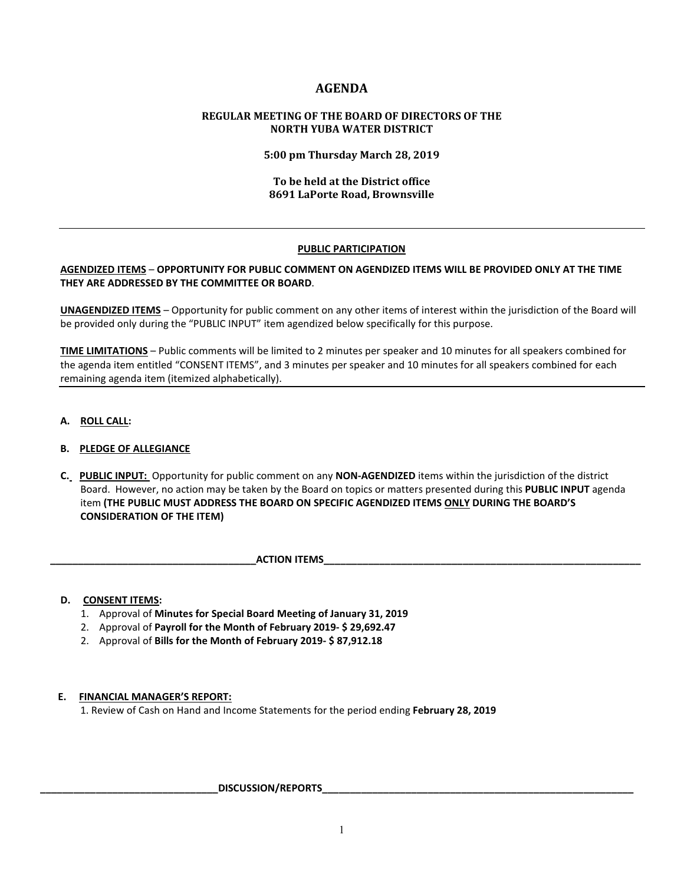# **AGENDA**

# **REGULAR MEETING OF THE BOARD OF DIRECTORS OF THE NORTH YUBA WATER DISTRICT**

**5:00 pm Thursday March 28, 2019**

# **To be held at the District office 8691 LaPorte Road, Brownsville**

# **PUBLIC PARTICIPATION**

# **AGENDIZED ITEMS** – **OPPORTUNITY FOR PUBLIC COMMENT ON AGENDIZED ITEMS WILL BE PROVIDED ONLY AT THE TIME THEY ARE ADDRESSED BY THE COMMITTEE OR BOARD**.

**UNAGENDIZED ITEMS** – Opportunity for public comment on any other items of interest within the jurisdiction of the Board will be provided only during the "PUBLIC INPUT" item agendized below specifically for this purpose.

**TIME LIMITATIONS** – Public comments will be limited to 2 minutes per speaker and 10 minutes for all speakers combined for the agenda item entitled "CONSENT ITEMS", and 3 minutes per speaker and 10 minutes for all speakers combined for each remaining agenda item (itemized alphabetically).

**A. ROLL CALL:** 

# **B. PLEDGE OF ALLEGIANCE**

 **C. PUBLIC INPUT:** Opportunity for public comment on any **NON-AGENDIZED** items within the jurisdiction of the district Board. However, no action may be taken by the Board on topics or matters presented during this **PUBLIC INPUT** agenda item **(THE PUBLIC MUST ADDRESS THE BOARD ON SPECIFIC AGENDIZED ITEMS ONLY DURING THE BOARD'S CONSIDERATION OF THE ITEM)**

**ACTION ITEMS** 

# **D. CONSENT ITEMS:**

- 1. Approval of **Minutes for Special Board Meeting of January 31, 2019**
- 2. Approval of **Payroll for the Month of February 2019- \$ 29,692.47**
- 2. Approval of **Bills for the Month of February 2019- \$ 87,912.18**

### **E. FINANCIAL MANAGER'S REPORT:**

1. Review of Cash on Hand and Income Statements for the period ending **February 28, 2019**

### DISCUSSION/REPORTS